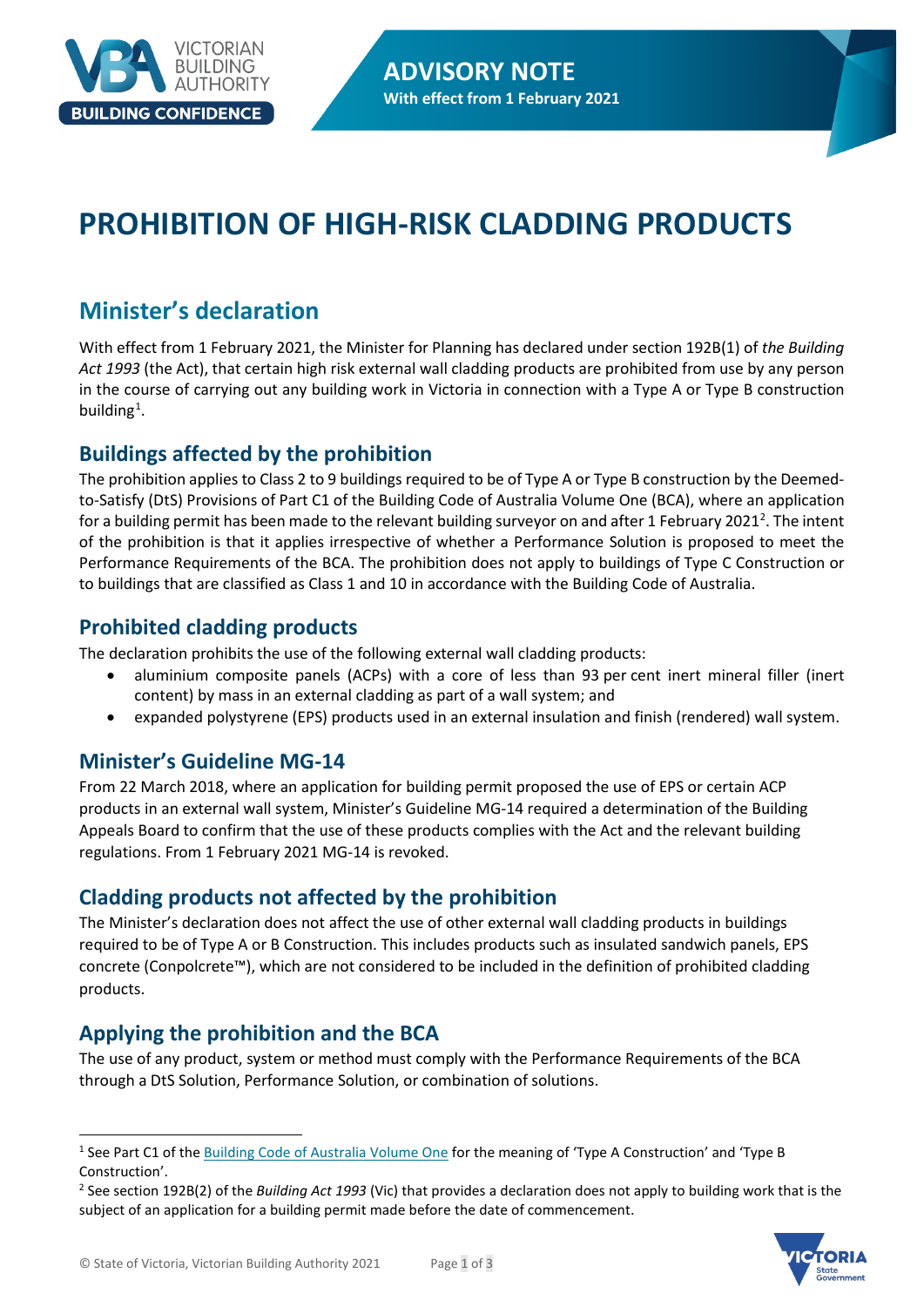

# **PROHIBITION OF HIGH-RISK CLADDING PRODUCTS**

# **Minister's declaration**

With effect from 1 February 2021, the Minister for Planning has declared under section 192B(1) of *the Building Act 1993* (the Act), that certain high risk external wall cladding products are prohibited from use by any person in the course of carrying out any building work in Victoria in connection with a Type A or Type B construction building<sup>[1](#page-0-0)</sup>.

## **Buildings affected by the prohibition**

The prohibition applies to Class 2 to 9 buildings required to be of Type A or Type B construction by the Deemedto-Satisfy (DtS) Provisions of Part C1 of the Building Code of Australia Volume One (BCA), where an application for a building permit has been made to the relevant building surveyor on and after 1 February [2](#page-0-1)021<sup>2</sup>. The intent of the prohibition is that it applies irrespective of whether a Performance Solution is proposed to meet the Performance Requirements of the BCA. The prohibition does not apply to buildings of Type C Construction or to buildings that are classified as Class 1 and 10 in accordance with the Building Code of Australia.

## **Prohibited cladding products**

The declaration prohibits the use of the following external wall cladding products:

- aluminium composite panels (ACPs) with a core of less than 93 per cent inert mineral filler (inert content) by mass in an external cladding as part of a wall system; and
- expanded polystyrene (EPS) products used in an external insulation and finish (rendered) wall system.

## **Minister's Guideline MG-14**

From 22 March 2018, where an application for building permit proposed the use of EPS or certain ACP products in an external wall system, Minister's Guideline MG-14 required a determination of the Building Appeals Board to confirm that the use of these products complies with the Act and the relevant building regulations. From 1 February 2021 MG-14 is revoked.

## **Cladding products not affected by the prohibition**

The Minister's declaration does not affect the use of other external wall cladding products in buildings required to be of Type A or B Construction. This includes products such as insulated sandwich panels, EPS concrete (Conpolcrete™), which are not considered to be included in the definition of prohibited cladding products.

## **Applying the prohibition and the BCA**

The use of any product, system or method must comply with the Performance Requirements of the BCA through a DtS Solution, Performance Solution, or combination of solutions.

<span id="page-0-1"></span><sup>2</sup> See section 192B(2) of the *Building Act 1993* (Vic) that provides a declaration does not apply to building work that is the subject of an application for a building permit made before the date of commencement.



<span id="page-0-0"></span><sup>&</sup>lt;sup>1</sup> See Part C1 of th[e Building Code of Australia Volume One](https://ncc.abcb.gov.au/) for the meaning of 'Type A Construction' and 'Type B Construction'.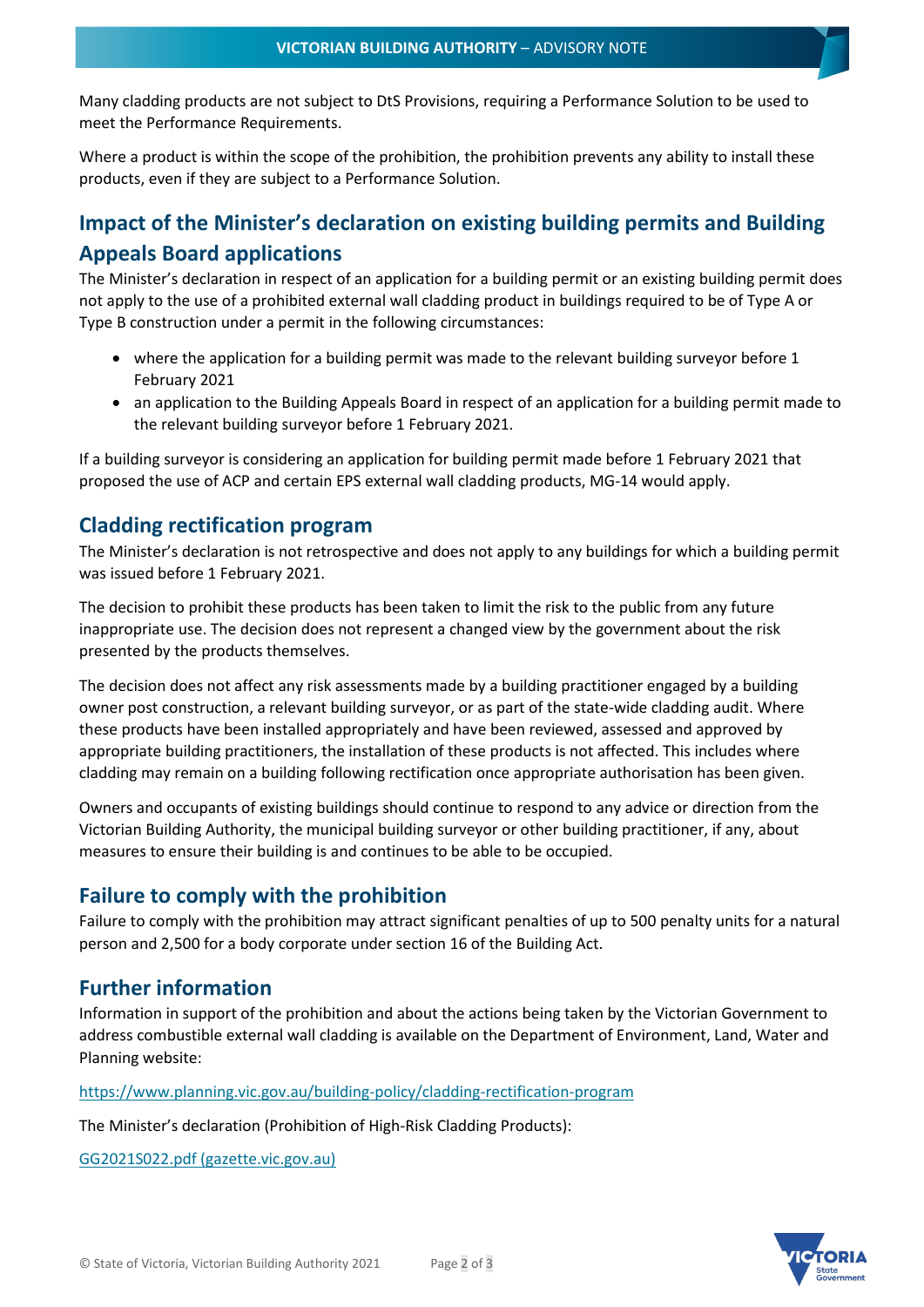Many cladding products are not subject to DtS Provisions, requiring a Performance Solution to be used to meet the Performance Requirements.

Where a product is within the scope of the prohibition, the prohibition prevents any ability to install these products, even if they are subject to a Performance Solution.

## **Impact of the Minister's declaration on existing building permits and Building Appeals Board applications**

The Minister's declaration in respect of an application for a building permit or an existing building permit does not apply to the use of a prohibited external wall cladding product in buildings required to be of Type A or Type B construction under a permit in the following circumstances:

- where the application for a building permit was made to the relevant building surveyor before 1 February 2021
- an application to the Building Appeals Board in respect of an application for a building permit made to the relevant building surveyor before 1 February 2021.

If a building surveyor is considering an application for building permit made before 1 February 2021 that proposed the use of ACP and certain EPS external wall cladding products, MG-14 would apply.

#### **Cladding rectification program**

The Minister's declaration is not retrospective and does not apply to any buildings for which a building permit was issued before 1 February 2021.

The decision to prohibit these products has been taken to limit the risk to the public from any future inappropriate use. The decision does not represent a changed view by the government about the risk presented by the products themselves.

The decision does not affect any risk assessments made by a building practitioner engaged by a building owner post construction, a relevant building surveyor, or as part of the state-wide cladding audit. Where these products have been installed appropriately and have been reviewed, assessed and approved by appropriate building practitioners, the installation of these products is not affected. This includes where cladding may remain on a building following rectification once appropriate authorisation has been given.

Owners and occupants of existing buildings should continue to respond to any advice or direction from the Victorian Building Authority, the municipal building surveyor or other building practitioner, if any, about measures to ensure their building is and continues to be able to be occupied.

#### **Failure to comply with the prohibition**

Failure to comply with the prohibition may attract significant penalties of up to 500 penalty units for a natural person and 2,500 for a body corporate under section 16 of the Building Act.

#### **Further information**

Information in support of the prohibition and about the actions being taken by the Victorian Government to address combustible external wall cladding is available on the Department of Environment, Land, Water and Planning website:

<https://www.planning.vic.gov.au/building-policy/cladding-rectification-program>

The Minister's declaration (Prohibition of High-Risk Cladding Products):

[GG2021S022.pdf \(gazette.vic.gov.au\)](http://www.gazette.vic.gov.au/gazette/Gazettes2021/GG2021S022.pdf)